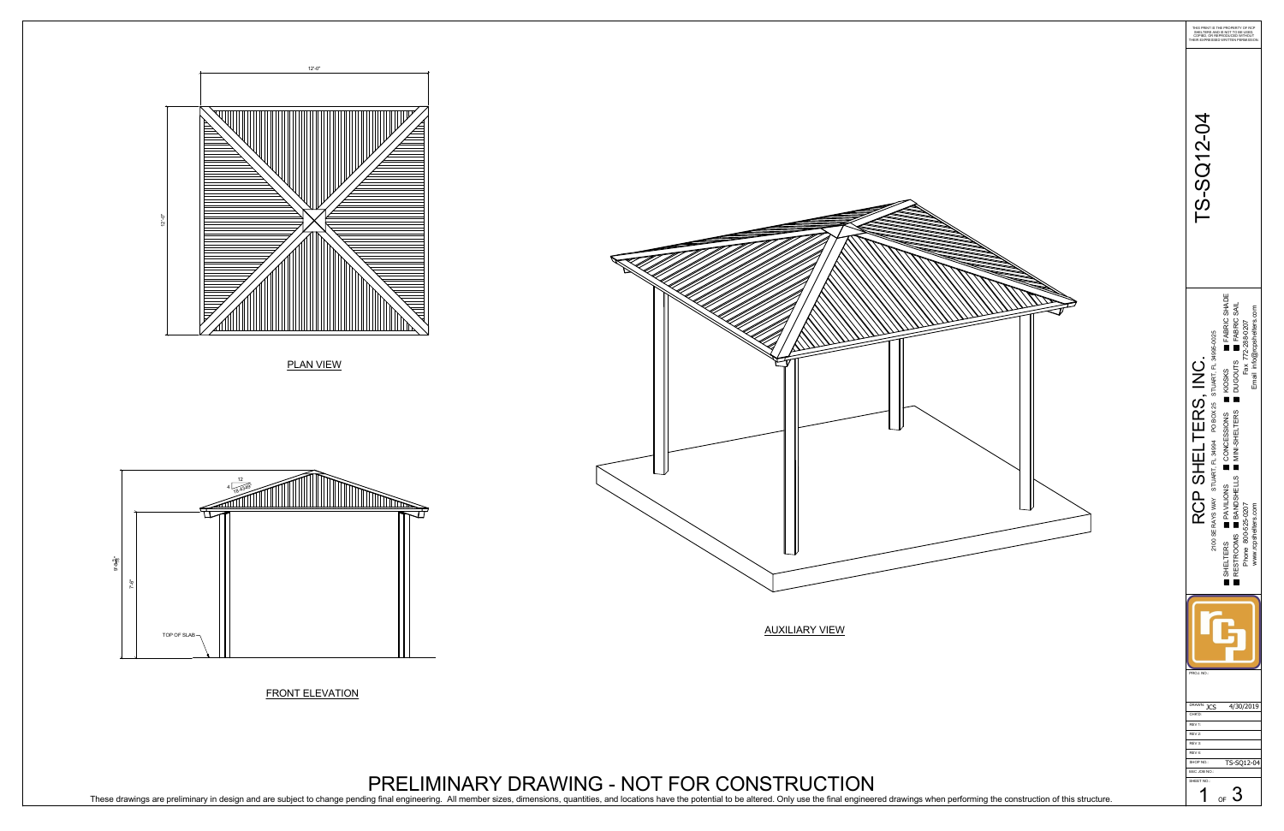PLAN VIEW

FRONT ELEVATION



PRELIMINARY DRAWING - NOT FOR CONSTRUCTION



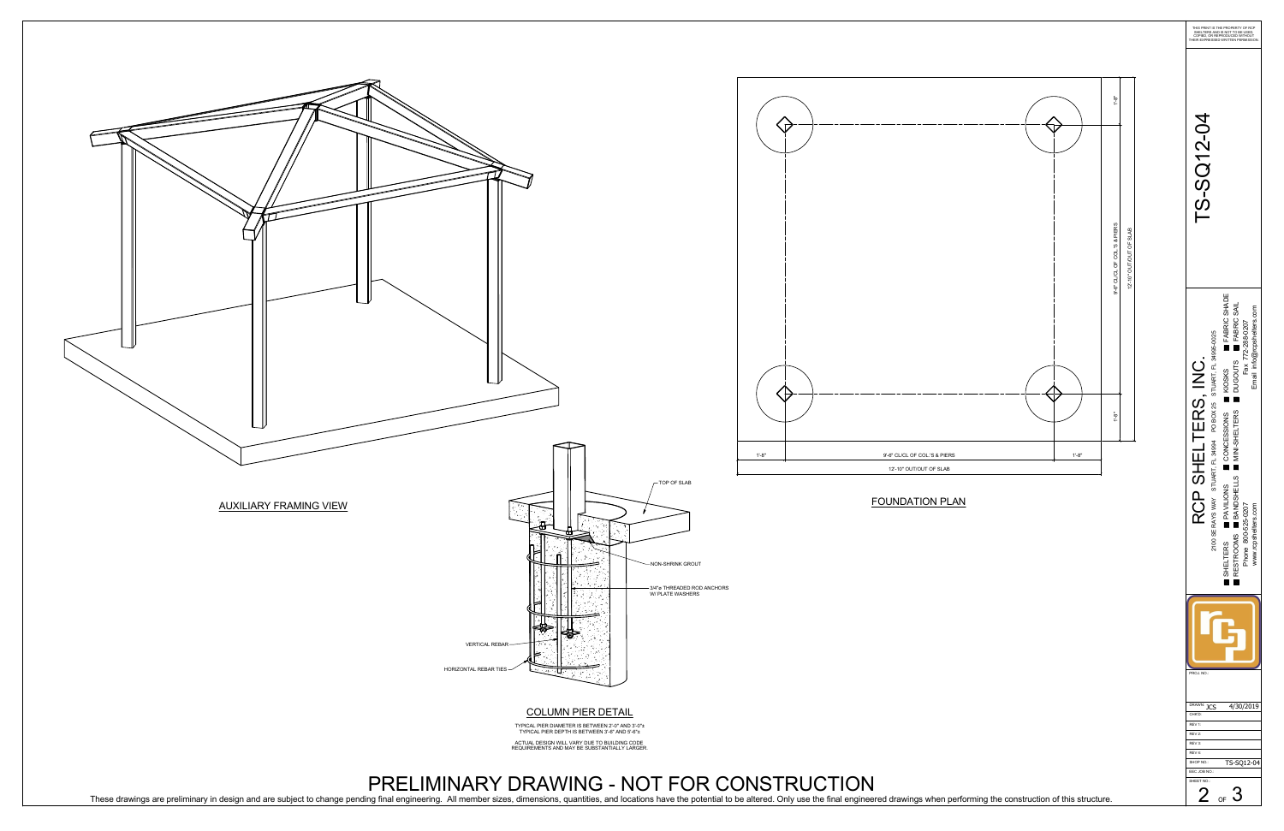